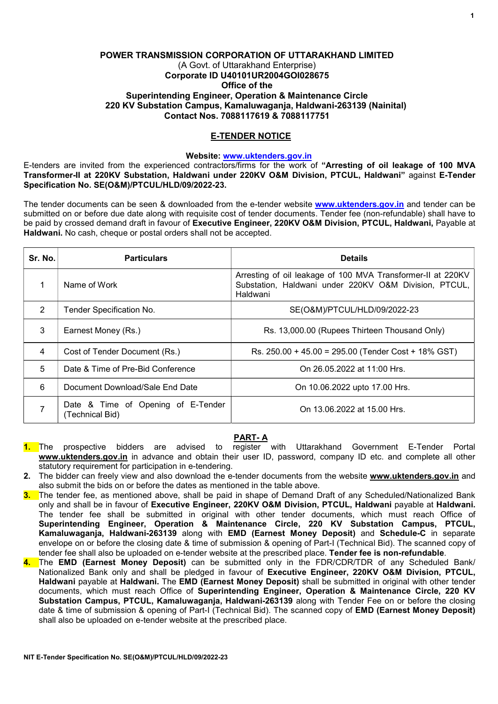## POWER TRANSMISSION CORPORATION OF UTTARAKHAND LIMITED (A Govt. of Uttarakhand Enterprise) Corporate ID U40101UR2004GOI028675 Office of the Superintending Engineer, Operation & Maintenance Circle 220 KV Substation Campus, Kamaluwaganja, Haldwani-263139 (Nainital) Contact Nos. 7088117619 & 7088117751

## E-TENDER NOTICE

### Website: www.uktenders.gov.in

E-tenders are invited from the experienced contractors/firms for the work of "Arresting of oil leakage of 100 MVA Transformer-II at 220KV Substation, Haldwani under 220KV O&M Division, PTCUL, Haldwani" against E-Tender Specification No. SE(O&M)/PTCUL/HLD/09/2022-23.

The tender documents can be seen & downloaded from the e-tender website www.uktenders.gov.in and tender can be submitted on or before due date along with requisite cost of tender documents. Tender fee (non-refundable) shall have to be paid by crossed demand draft in favour of Executive Engineer, 220KV O&M Division, PTCUL, Haldwani, Payable at Haldwani. No cash, cheque or postal orders shall not be accepted.

| Sr. No. | <b>Particulars</b>                                    | <b>Details</b>                                                                                                                   |
|---------|-------------------------------------------------------|----------------------------------------------------------------------------------------------------------------------------------|
|         | Name of Work                                          | Arresting of oil leakage of 100 MVA Transformer-II at 220KV<br>Substation, Haldwani under 220KV O&M Division, PTCUL,<br>Haldwani |
| 2       | Tender Specification No.                              | SE(O&M)/PTCUL/HLD/09/2022-23                                                                                                     |
| 3       | Earnest Money (Rs.)                                   | Rs. 13,000.00 (Rupees Thirteen Thousand Only)                                                                                    |
| 4       | Cost of Tender Document (Rs.)                         | Rs. 250.00 + 45.00 = 295.00 (Tender Cost + 18% GST)                                                                              |
| 5       | Date & Time of Pre-Bid Conference                     | On 26.05.2022 at 11:00 Hrs.                                                                                                      |
| 6       | Document Download/Sale End Date                       | On 10.06.2022 upto 17.00 Hrs.                                                                                                    |
|         | Date & Time of Opening of E-Tender<br>(Technical Bid) | On 13.06.2022 at 15.00 Hrs.                                                                                                      |

# PART- A

- 1. The prospective bidders are advised to register with Uttarakhand Government E-Tender Portal www.uktenders.gov.in in advance and obtain their user ID, password, company ID etc. and complete all other statutory requirement for participation in e-tendering.
- 2. The bidder can freely view and also download the e-tender documents from the website www.uktenders.gov.in and also submit the bids on or before the dates as mentioned in the table above.
- 3. The tender fee, as mentioned above, shall be paid in shape of Demand Draft of any Scheduled/Nationalized Bank only and shall be in favour of Executive Engineer, 220KV O&M Division, PTCUL, Haldwani payable at Haldwani. The tender fee shall be submitted in original with other tender documents, which must reach Office of Superintending Engineer, Operation & Maintenance Circle, 220 KV Substation Campus, PTCUL, Kamaluwaganja, Haldwani-263139 along with EMD (Earnest Money Deposit) and Schedule-C in separate envelope on or before the closing date & time of submission & opening of Part-I (Technical Bid). The scanned copy of tender fee shall also be uploaded on e-tender website at the prescribed place. Tender fee is non-refundable.
- 4. The EMD (Earnest Money Deposit) can be submitted only in the FDR/CDR/TDR of any Scheduled Bank/ Nationalized Bank only and shall be pledged in favour of Executive Engineer, 220KV O&M Division, PTCUL, Haldwani payable at Haldwani. The EMD (Earnest Money Deposit) shall be submitted in original with other tender documents, which must reach Office of Superintending Engineer, Operation & Maintenance Circle, 220 KV Substation Campus, PTCUL, Kamaluwagania, Haldwani-263139 along with Tender Fee on or before the closing date & time of submission & opening of Part-I (Technical Bid). The scanned copy of EMD (Earnest Money Deposit) shall also be uploaded on e-tender website at the prescribed place.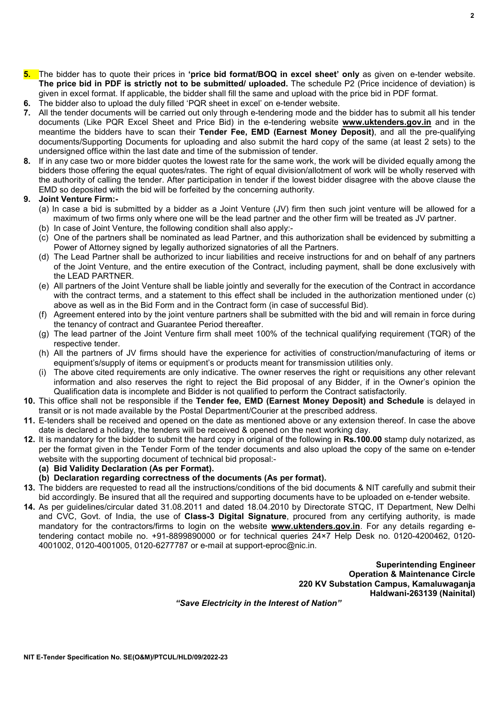$\overline{2}$ 

- 5. The bidder has to quote their prices in 'price bid format/BOQ in excel sheet' only as given on e-tender website. The price bid in PDF is strictly not to be submitted/ uploaded. The schedule P2 (Price incidence of deviation) is given in excel format. If applicable, the bidder shall fill the same and upload with the price bid in PDF format. 6. The bidder also to upload the duly filled 'PQR sheet in excel' on e-tender website.
- 
- 7. All the tender documents will be carried out only through e-tendering mode and the bidder has to submit all his tender documents (Like PQR Excel Sheet and Price Bid) in the e-tendering website **www.uktenders.gov.in** and in the meantime the bidders have to scan their Tender Fee, EMD (Earnest Money Deposit), and all the pre-qualifying documents/Supporting Documents for uploading and also submit the hard copy of the same (at least 2 sets) to the undersigned office within the last date and time of the submission of tender.
- 8. If in any case two or more bidder quotes the lowest rate for the same work, the work will be divided equally among the bidders those offering the equal quotes/rates. The right of equal division/allotment of work will be wholly reserved with the authority of calling the tender. After participation in tender if the lowest bidder disagree with the above clause the EMD so deposited with the bid will be forfeited by the concerning authority.

## 9. Joint Venture Firm:-

- (a) In case a bid is submitted by a bidder as a Joint Venture (JV) firm then such joint venture will be allowed for a maximum of two firms only where one will be the lead partner and the other firm will be treated as JV partner.
- (b) In case of Joint Venture, the following condition shall also apply:-
- (c) One of the partners shall be nominated as lead Partner, and this authorization shall be evidenced by submitting a Power of Attorney signed by legally authorized signatories of all the Partners.
- (d) The Lead Partner shall be authorized to incur liabilities and receive instructions for and on behalf of any partners of the Joint Venture, and the entire execution of the Contract, including payment, shall be done exclusively with the LEAD PARTNER.
- (e) All partners of the Joint Venture shall be liable jointly and severally for the execution of the Contract in accordance with the contract terms, and a statement to this effect shall be included in the authorization mentioned under (c) above as well as in the Bid Form and in the Contract form (in case of successful Bid).
- (f) Agreement entered into by the joint venture partners shall be submitted with the bid and will remain in force during the tenancy of contract and Guarantee Period thereafter.
- (g) The lead partner of the Joint Venture firm shall meet 100% of the technical qualifying requirement (TQR) of the respective tender.
- (h) All the partners of JV firms should have the experience for activities of construction/manufacturing of items or equipment's/supply of items or equipment's or products meant for transmission utilities only.
- (i) The above cited requirements are only indicative. The owner reserves the right or requisitions any other relevant information and also reserves the right to reject the Bid proposal of any Bidder, if in the Owner's opinion the Qualification data is incomplete and Bidder is not qualified to perform the Contract satisfactorily.
- 10. This office shall not be responsible if the Tender fee, EMD (Earnest Money Deposit) and Schedule is delayed in transit or is not made available by the Postal Department/Courier at the prescribed address.
- 11. E-tenders shall be received and opened on the date as mentioned above or any extension thereof. In case the above date is declared a holiday, the tenders will be received & opened on the next working day.
- 12. It is mandatory for the bidder to submit the hard copy in original of the following in Rs.100.00 stamp duly notarized, as per the format given in the Tender Form of the tender documents and also upload the copy of the same on e-tender website with the supporting document of technical bid proposal:-
	- (a) Bid Validity Declaration (As per Format).
	- (b) Declaration regarding correctness of the documents (As per format).
- 13. The bidders are requested to read all the instructions/conditions of the bid documents & NIT carefully and submit their bid accordingly. Be insured that all the required and supporting documents have to be uploaded on e-tender website.
- 14. As per guidelines/circular dated 31.08.2011 and dated 18.04.2010 by Directorate STQC, IT Department, New Delhi and CVC, Govt. of India, the use of Class-3 Digital Signature, procured from any certifying authority, is made mandatory for the contractors/firms to login on the website www.uktenders.gov.in. For any details regarding etendering contact mobile no. +91-8899890000 or for technical queries 24×7 Help Desk no. 0120-4200462, 0120- 4001002, 0120-4001005, 0120-6277787 or e-mail at support-eproc@nic.in.

Superintending Engineer Operation & Maintenance Circle 220 KV Substation Campus, Kamaluwaganja Haldwani-263139 (Nainital)

"Save Electricity in the Interest of Nation"